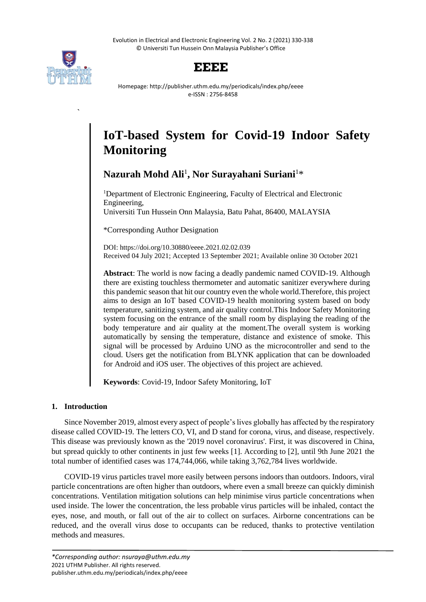Evolution in Electrical and Electronic Engineering Vol. 2 No. 2 (2021) 330-338 © Universiti Tun Hussein Onn Malaysia Publisher's Office



**`**



Homepage: http://publisher.uthm.edu.my/periodicals/index.php/eeee e-ISSN : 2756-8458

# **IoT-based System for Covid-19 Indoor Safety Monitoring**

**Nazurah Mohd Ali**<sup>1</sup> **, Nor Surayahani Suriani**<sup>1</sup>\*

<sup>1</sup>Department of Electronic Engineering, Faculty of Electrical and Electronic Engineering, Universiti Tun Hussein Onn Malaysia, Batu Pahat, 86400, MALAYSIA

\*Corresponding Author Designation

DOI: https://doi.org/10.30880/eeee.2021.02.02.039 Received 04 July 2021; Accepted 13 September 2021; Available online 30 October 2021

**Abstract**: The world is now facing a deadly pandemic named COVID-19. Although there are existing touchless thermometer and automatic sanitizer everywhere during this pandemic season that hit our country even the whole world.Therefore, this project aims to design an IoT based COVID-19 health monitoring system based on body temperature, sanitizing system, and air quality control.This Indoor Safety Monitoring system focusing on the entrance of the small room by displaying the reading of the body temperature and air quality at the moment.The overall system is working automatically by sensing the temperature, distance and existence of smoke. This signal will be processed by Arduino UNO as the microcontroller and send to the cloud. Users get the notification from BLYNK application that can be downloaded for Android and iOS user. The objectives of this project are achieved.

**Keywords**: Covid-19, Indoor Safety Monitoring, IoT

# **1. Introduction**

Since November 2019, almost every aspect of people's lives globally has affected by the respiratory disease called COVID-19. The letters CO, VI, and D stand for corona, virus, and disease, respectively. This disease was previously known as the '2019 novel coronavirus'. First, it was discovered in China, but spread quickly to other continents in just few weeks [1]. According to [2], until 9th June 2021 the total number of identified cases was 174,744,066, while taking 3,762,784 lives worldwide.

COVID-19 virus particles travel more easily between persons indoors than outdoors. Indoors, viral particle concentrations are often higher than outdoors, where even a small breeze can quickly diminish concentrations. Ventilation mitigation solutions can help minimise virus particle concentrations when used inside. The lower the concentration, the less probable virus particles will be inhaled, contact the eyes, nose, and mouth, or fall out of the air to collect on surfaces. Airborne concentrations can be reduced, and the overall virus dose to occupants can be reduced, thanks to protective ventilation methods and measures.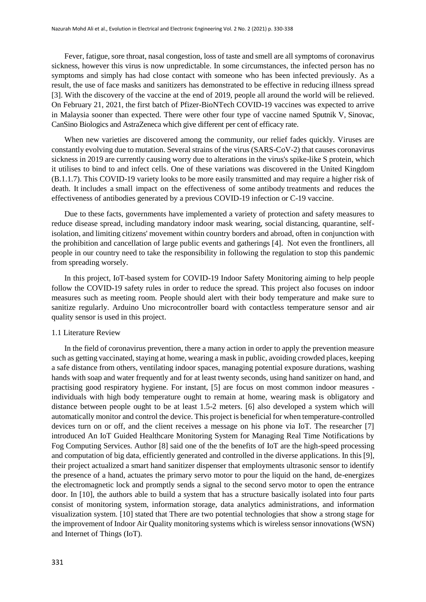Fever, fatigue, sore throat, nasal congestion, loss of taste and smell are all symptoms of coronavirus sickness, however this virus is now unpredictable. In some circumstances, the infected person has no symptoms and simply has had close contact with someone who has been infected previously. As a result, the use of face masks and sanitizers has demonstrated to be effective in reducing illness spread [3]. With the discovery of the vaccine at the end of 2019, people all around the world will be relieved. On February 21, 2021, the first batch of Pfizer-BioNTech COVID-19 vaccines was expected to arrive in Malaysia sooner than expected. There were other four type of vaccine named Sputnik V, Sinovac, CanSino Biologics and AstraZeneca which give different per cent of efficacy rate.

When new varieties are discovered among the community, our relief fades quickly. Viruses are constantly evolving due to mutation. Several strains of the virus (SARS-CoV-2) that causes coronavirus sickness in 2019 are currently causing worry due to alterations in the virus's spike-like S protein, which it utilises to bind to and infect cells. One of these variations was discovered in the United Kingdom (B.1.1.7). This COVID-19 variety looks to be more easily transmitted and may require a higher risk of death. It includes a small impact on the effectiveness of some antibody treatments and reduces the effectiveness of antibodies generated by a previous COVID-19 infection or C-19 vaccine.

Due to these facts, governments have implemented a variety of protection and safety measures to reduce disease spread, including mandatory indoor mask wearing, social distancing, quarantine, selfisolation, and limiting citizens' movement within country borders and abroad, often in conjunction with the prohibition and cancellation of large public events and gatherings [4]. Not even the frontliners, all people in our country need to take the responsibility in following the regulation to stop this pandemic from spreading worsely.

In this project, IoT-based system for COVID-19 Indoor Safety Monitoring aiming to help people follow the COVID-19 safety rules in order to reduce the spread. This project also focuses on indoor measures such as meeting room. People should alert with their body temperature and make sure to sanitize regularly. Arduino Uno microcontroller board with contactless temperature sensor and air quality sensor is used in this project.

# 1.1 Literature Review

In the field of coronavirus prevention, there a many action in order to apply the prevention measure such as getting vaccinated, staying at home, wearing a mask in public, avoiding crowded places, keeping a safe distance from others, ventilating indoor spaces, managing potential exposure durations, washing hands with soap and water frequently and for at least twenty seconds, using hand sanitizer on hand, and practising good respiratory hygiene. For instant, [5] are focus on most common indoor measures individuals with high body temperature ought to remain at home, wearing mask is obligatory and distance between people ought to be at least 1.5-2 meters. [6] also developed a system which will automatically monitor and control the device. This project is beneficial for when temperature-controlled devices turn on or off, and the client receives a message on his phone via IoT. The researcher [7] introduced An IoT Guided Healthcare Monitoring System for Managing Real Time Notifications by Fog Computing Services. Author [8] said one of the the benefits of IoT are the high-speed processing and computation of big data, efficiently generated and controlled in the diverse applications. In this [9], their project actualized a smart hand sanitizer dispenser that employments ultrasonic sensor to identify the presence of a hand, actuates the primary servo motor to pour the liquid on the hand, de-energizes the electromagnetic lock and promptly sends a signal to the second servo motor to open the entrance door. In [10], the authors able to build a system that has a structure basically isolated into four parts consist of monitoring system, information storage, data analytics administrations, and information visualization system. [10] stated that There are two potential technologies that show a strong stage for the improvement of Indoor Air Quality monitoring systems which is wireless sensor innovations (WSN) and Internet of Things (IoT).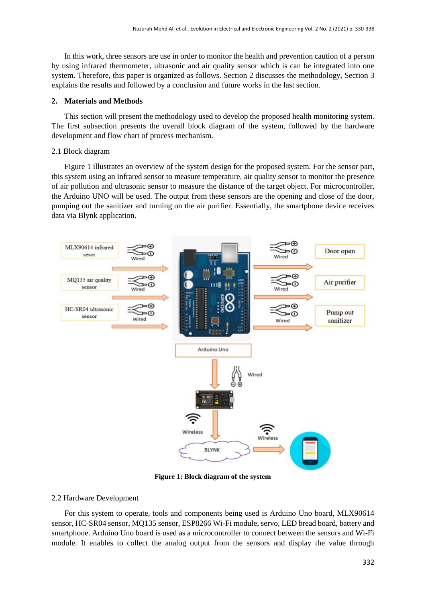In this work, three sensors are use in order to monitor the health and prevention caution of a person by using infrared thermometer, ultrasonic and air quality sensor which is can be integrated into one system. Therefore, this paper is organized as follows. Section 2 discusses the methodology, Section 3 explains the results and followed by a conclusion and future works in the last section.

## **2. Materials and Methods**

This section will present the methodology used to develop the proposed health monitoring system. The first subsection presents the overall block diagram of the system, followed by the hardware development and flow chart of process mechanism.

### 2.1 Block diagram

Figure 1 illustrates an overview of the system design for the proposed system. For the sensor part, this system using an infrared sensor to measure temperature, air quality sensor to monitor the presence of air pollution and ultrasonic sensor to measure the distance of the target object. For microcontroller, the Arduino UNO will be used. The output from these sensors are the opening and close of the door, pumping out the sanitizer and turning on the air purifier. Essentially, the smartphone device receives data via Blynk application.



**Figure 1: Block diagram of the system**

#### 2.2 Hardware Development

For this system to operate, tools and components being used is Arduino Uno board, MLX90614 sensor, HC-SR04 sensor, MQ135 sensor, ESP8266 Wi-Fi module, servo, LED bread board, battery and smartphone. Arduino Uno board is used as a microcontroller to connect between the sensors and Wi-Fi module. It enables to collect the analog output from the sensors and display the value through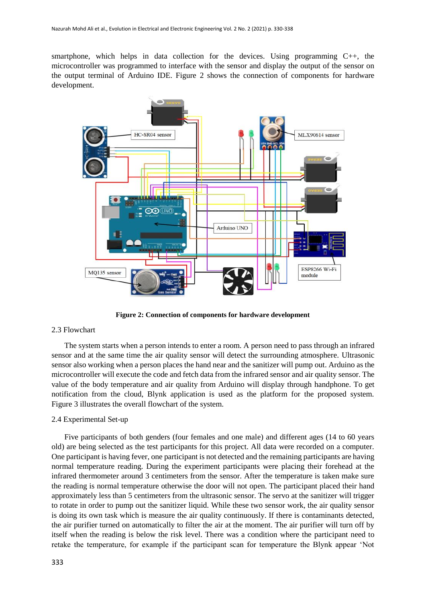smartphone, which helps in data collection for the devices. Using programming  $C_{++}$ , the microcontroller was programmed to interface with the sensor and display the output of the sensor on the output terminal of Arduino IDE. Figure 2 shows the connection of components for hardware development.



**Figure 2: Connection of components for hardware development**

## 2.3 Flowchart

The system starts when a person intends to enter a room. A person need to pass through an infrared sensor and at the same time the air quality sensor will detect the surrounding atmosphere. Ultrasonic sensor also working when a person places the hand near and the sanitizer will pump out. Arduino as the microcontroller will execute the code and fetch data from the infrared sensor and air quality sensor. The value of the body temperature and air quality from Arduino will display through handphone. To get notification from the cloud, Blynk application is used as the platform for the proposed system. Figure 3 illustrates the overall flowchart of the system.

## 2.4 Experimental Set-up

Five participants of both genders (four females and one male) and different ages (14 to 60 years old) are being selected as the test participants for this project. All data were recorded on a computer. One participant is having fever, one participant is not detected and the remaining participants are having normal temperature reading. During the experiment participants were placing their forehead at the infrared thermometer around 3 centimeters from the sensor. After the temperature is taken make sure the reading is normal temperature otherwise the door will not open. The participant placed their hand approximately less than 5 centimeters from the ultrasonic sensor. The servo at the sanitizer will trigger to rotate in order to pump out the sanitizer liquid. While these two sensor work, the air quality sensor is doing its own task which is measure the air quality continuously. If there is contaminants detected, the air purifier turned on automatically to filter the air at the moment. The air purifier will turn off by itself when the reading is below the risk level. There was a condition where the participant need to retake the temperature, for example if the participant scan for temperature the Blynk appear 'Not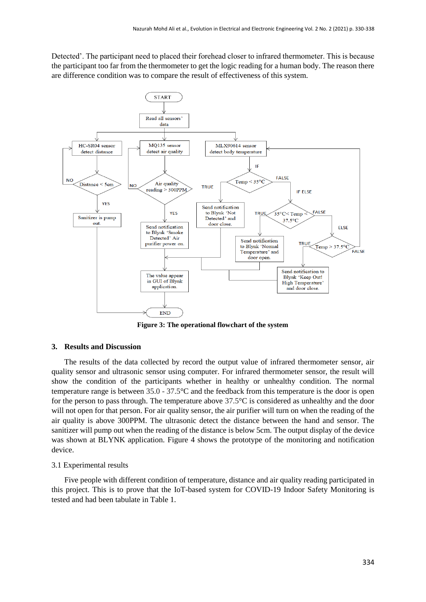Detected'. The participant need to placed their forehead closer to infrared thermometer. This is because the participant too far from the thermometer to get the logic reading for a human body. The reason there are difference condition was to compare the result of effectiveness of this system.



**Figure 3: The operational flowchart of the system**

## **3. Results and Discussion**

The results of the data collected by record the output value of infrared thermometer sensor, air quality sensor and ultrasonic sensor using computer. For infrared thermometer sensor, the result will show the condition of the participants whether in healthy or unhealthy condition. The normal temperature range is between 35.0 - 37.5°C and the feedback from this temperature is the door is open for the person to pass through. The temperature above 37.5°C is considered as unhealthy and the door will not open for that person. For air quality sensor, the air purifier will turn on when the reading of the air quality is above 300PPM. The ultrasonic detect the distance between the hand and sensor. The sanitizer will pump out when the reading of the distance is below 5cm. The output display of the device was shown at BLYNK application. Figure 4 shows the prototype of the monitoring and notification device.

## 3.1 Experimental results

Five people with different condition of temperature, distance and air quality reading participated in this project. This is to prove that the IoT-based system for COVID-19 Indoor Safety Monitoring is tested and had been tabulate in Table 1.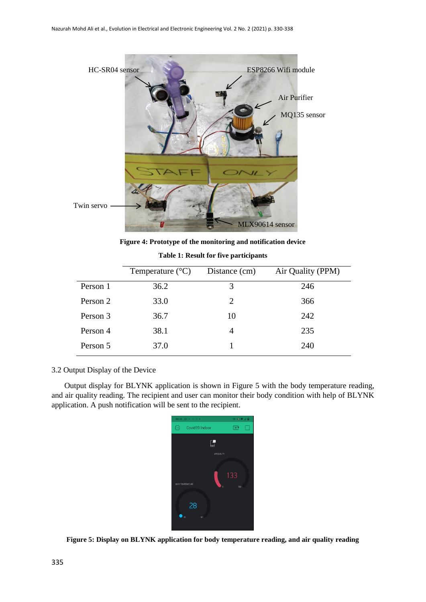

**Figure 4: Prototype of the monitoring and notification device**

|          | Temperature $(^{\circ}C)$ | Distance (cm)  | Air Quality (PPM) |
|----------|---------------------------|----------------|-------------------|
| Person 1 | 36.2                      | 3              | 246               |
| Person 2 | 33.0                      | 2              | 366               |
| Person 3 | 36.7                      | 10             | 242               |
| Person 4 | 38.1                      | $\overline{4}$ | 235               |
| Person 5 | 37.0                      |                | 240               |

**Table 1: Result for five participants**

# 3.2 Output Display of the Device

Output display for BLYNK application is shown in Figure 5 with the body temperature reading, and air quality reading. The recipient and user can monitor their body condition with help of BLYNK application. A push notification will be sent to the recipient.



**Figure 5: Display on BLYNK application for body temperature reading, and air quality reading**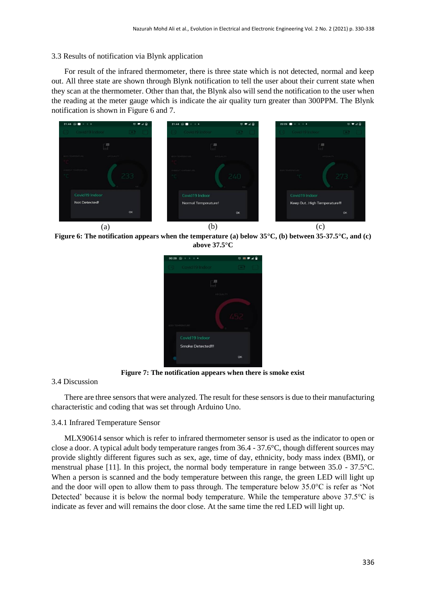## 3.3 Results of notification via Blynk application

For result of the infrared thermometer, there is three state which is not detected, normal and keep out. All three state are shown through Blynk notification to tell the user about their current state when they scan at the thermometer. Other than that, the Blynk also will send the notification to the user when the reading at the meter gauge which is indicate the air quality turn greater than 300PPM. The Blynk notification is shown in Figure 6 and 7.



**Figure 6: The notification appears when the temperature (a) below 35°C, (b) between 35-37.5°C, and (c) above 37.5°C**



**Figure 7: The notification appears when there is smoke exist**

# 3.4 Discussion

There are three sensors that were analyzed. The result for these sensors is due to their manufacturing characteristic and coding that was set through Arduino Uno.

## 3.4.1 Infrared Temperature Sensor

MLX90614 sensor which is refer to infrared thermometer sensor is used as the indicator to open or close a door. A typical adult body temperature ranges from 36.4 - 37.6°C, though different sources may provide slightly different figures such as sex, age, time of day, ethnicity, body mass index (BMI), or menstrual phase [11]. In this project, the normal body temperature in range between 35.0 - 37.5°C. When a person is scanned and the body temperature between this range, the green LED will light up and the door will open to allow them to pass through. The temperature below 35.0°C is refer as 'Not Detected' because it is below the normal body temperature. While the temperature above 37.5°C is indicate as fever and will remains the door close. At the same time the red LED will light up.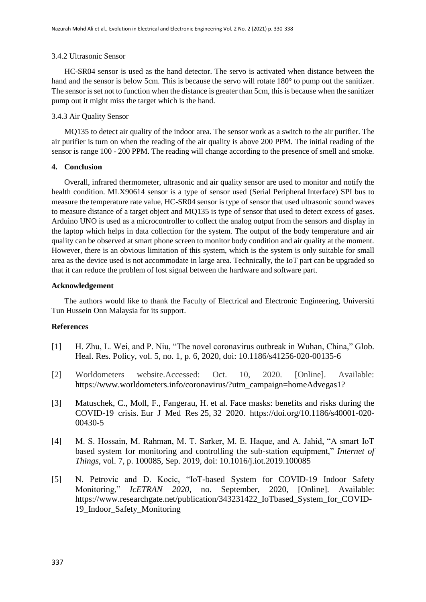## 3.4.2 Ultrasonic Sensor

HC-SR04 sensor is used as the hand detector. The servo is activated when distance between the hand and the sensor is below 5cm. This is because the servo will rotate 180° to pump out the sanitizer. The sensor is set not to function when the distance is greater than 5cm, this is because when the sanitizer pump out it might miss the target which is the hand.

# 3.4.3 Air Quality Sensor

MQ135 to detect air quality of the indoor area. The sensor work as a switch to the air purifier. The air purifier is turn on when the reading of the air quality is above 200 PPM. The initial reading of the sensor is range 100 - 200 PPM. The reading will change according to the presence of smell and smoke.

# **4. Conclusion**

Overall, infrared thermometer, ultrasonic and air quality sensor are used to monitor and notify the health condition. MLX90614 sensor is a type of sensor used (Serial Peripheral Interface) SPI bus to measure the temperature rate value, HC-SR04 sensor is type of sensor that used ultrasonic sound waves to measure distance of a target object and MQ135 is type of sensor that used to detect excess of gases. Arduino UNO is used as a microcontroller to collect the analog output from the sensors and display in the laptop which helps in data collection for the system. The output of the body temperature and air quality can be observed at smart phone screen to monitor body condition and air quality at the moment. However, there is an obvious limitation of this system, which is the system is only suitable for small area as the device used is not accommodate in large area. Technically, the IoT part can be upgraded so that it can reduce the problem of lost signal between the hardware and software part.

# **Acknowledgement**

The authors would like to thank the Faculty of Electrical and Electronic Engineering, Universiti Tun Hussein Onn Malaysia for its support.

# **References**

- [1] H. Zhu, L. Wei, and P. Niu, "The novel coronavirus outbreak in Wuhan, China," Glob. Heal. Res. Policy, vol. 5, no. 1, p. 6, 2020, doi: 10.1186/s41256-020-00135-6
- [2] Worldometers website.Accessed: Oct. 10, 2020. [Online]. Available: [https://www.worldometers.info/coronavirus/?utm\\_campaign=homeAdvegas1?](https://www.worldometers.info/coronavirus/?utm_campaign=homeAdvegas1?)
- [3] Matuschek, C., Moll, F., Fangerau, H. et al. Face masks: benefits and risks during the COVID-19 crisis. Eur J Med Res 25, 32 2020. [https://doi.org/10.1186/s40001-020-](https://doi.org/10.1186/s40001-020-00430-5) [00430-5](https://doi.org/10.1186/s40001-020-00430-5)
- [4] M. S. Hossain, M. Rahman, M. T. Sarker, M. E. Haque, and A. Jahid, "A smart IoT based system for monitoring and controlling the sub-station equipment," *Internet of Things*, vol. 7, p. 100085, Sep. 2019, doi: 10.1016/j.iot.2019.100085
- [5] N. Petrovic and D. Kocic, "IoT-based System for COVID-19 Indoor Safety Monitoring," *IcETRAN 2020*, no. September, 2020, [Online]. Available: https://www.researchgate.net/publication/343231422\_IoTbased\_System\_for\_COVID-19\_Indoor\_Safety\_Monitoring